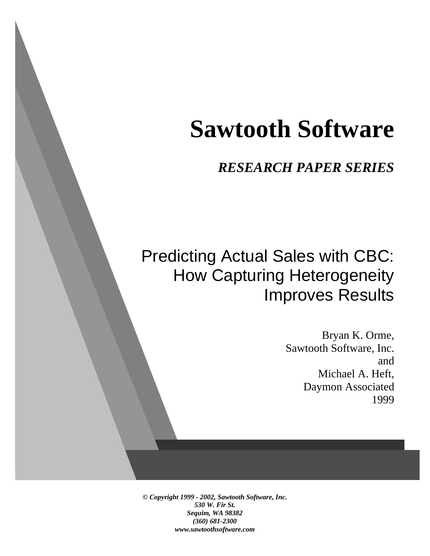# **Sawtooth Software**

*RESEARCH PAPER SERIES*

# Predicting Actual Sales with CBC: How Capturing Heterogeneity Improves Results

Bryan K. Orme, Sawtooth Software, Inc. and Michael A. Heft, Daymon Associated 1999

*© Copyright 1999 - 2002, Sawtooth Software, Inc. 530 W. Fir St. Sequim, WA 98382 (360) 681-2300 www.sawtoothsoftware.com*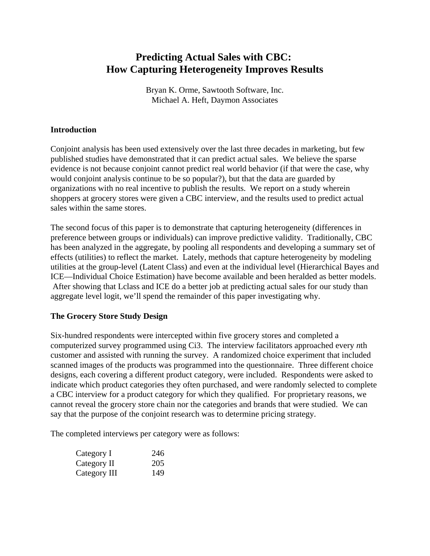# **Predicting Actual Sales with CBC: How Capturing Heterogeneity Improves Results**

Bryan K. Orme, Sawtooth Software, Inc. Michael A. Heft, Daymon Associates

## **Introduction**

Conjoint analysis has been used extensively over the last three decades in marketing, but few published studies have demonstrated that it can predict actual sales. We believe the sparse evidence is not because conjoint cannot predict real world behavior (if that were the case, why would conjoint analysis continue to be so popular?), but that the data are guarded by organizations with no real incentive to publish the results. We report on a study wherein shoppers at grocery stores were given a CBC interview, and the results used to predict actual sales within the same stores.

The second focus of this paper is to demonstrate that capturing heterogeneity (differences in preference between groups or individuals) can improve predictive validity. Traditionally, CBC has been analyzed in the aggregate, by pooling all respondents and developing a summary set of effects (utilities) to reflect the market. Lately, methods that capture heterogeneity by modeling utilities at the group-level (Latent Class) and even at the individual level (Hierarchical Bayes and ICE—Individual Choice Estimation) have become available and been heralded as better models. After showing that Lclass and ICE do a better job at predicting actual sales for our study than aggregate level logit, we'll spend the remainder of this paper investigating why.

# **The Grocery Store Study Design**

Six-hundred respondents were intercepted within five grocery stores and completed a computerized survey programmed using Ci3. The interview facilitators approached every *n*th customer and assisted with running the survey. A randomized choice experiment that included scanned images of the products was programmed into the questionnaire. Three different choice designs, each covering a different product category, were included. Respondents were asked to indicate which product categories they often purchased, and were randomly selected to complete a CBC interview for a product category for which they qualified. For proprietary reasons, we cannot reveal the grocery store chain nor the categories and brands that were studied. We can say that the purpose of the conjoint research was to determine pricing strategy.

The completed interviews per category were as follows:

| Category I   | 246 |
|--------------|-----|
| Category II  | 205 |
| Category III | 149 |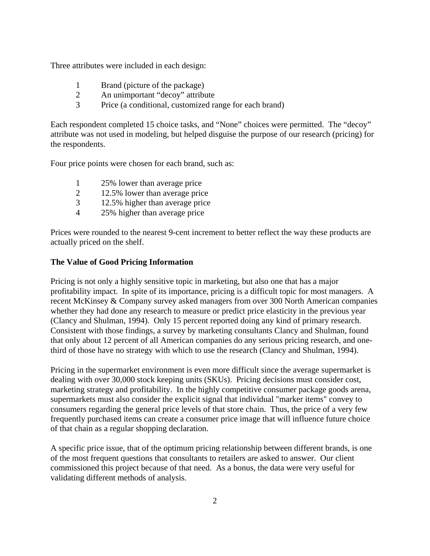Three attributes were included in each design:

- 1 Brand (picture of the package)
- 2 An unimportant "decoy" attribute
- 3 Price (a conditional, customized range for each brand)

Each respondent completed 15 choice tasks, and "None" choices were permitted. The "decoy" attribute was not used in modeling, but helped disguise the purpose of our research (pricing) for the respondents.

Four price points were chosen for each brand, such as:

- 1 25% lower than average price
- 2 12.5% lower than average price
- 3 12.5% higher than average price
- 4 25% higher than average price

Prices were rounded to the nearest 9-cent increment to better reflect the way these products are actually priced on the shelf.

#### **The Value of Good Pricing Information**

Pricing is not only a highly sensitive topic in marketing, but also one that has a major profitability impact. In spite of its importance, pricing is a difficult topic for most managers. A recent McKinsey & Company survey asked managers from over 300 North American companies whether they had done any research to measure or predict price elasticity in the previous year (Clancy and Shulman, 1994). Only 15 percent reported doing any kind of primary research. Consistent with those findings, a survey by marketing consultants Clancy and Shulman, found that only about 12 percent of all American companies do any serious pricing research, and onethird of those have no strategy with which to use the research (Clancy and Shulman, 1994).

Pricing in the supermarket environment is even more difficult since the average supermarket is dealing with over 30,000 stock keeping units (SKUs). Pricing decisions must consider cost, marketing strategy and profitability. In the highly competitive consumer package goods arena, supermarkets must also consider the explicit signal that individual "marker items" convey to consumers regarding the general price levels of that store chain. Thus, the price of a very few frequently purchased items can create a consumer price image that will influence future choice of that chain as a regular shopping declaration.

A specific price issue, that of the optimum pricing relationship between different brands, is one of the most frequent questions that consultants to retailers are asked to answer. Our client commissioned this project because of that need. As a bonus, the data were very useful for validating different methods of analysis.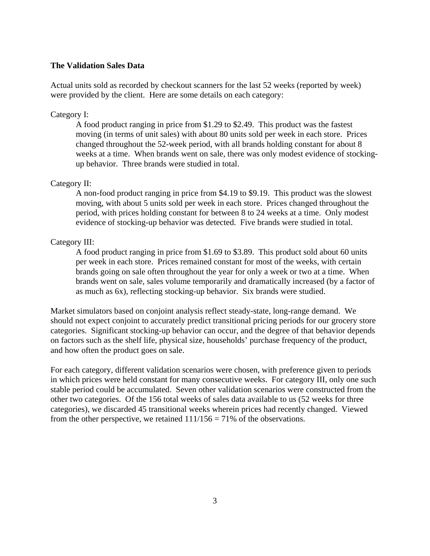#### **The Validation Sales Data**

Actual units sold as recorded by checkout scanners for the last 52 weeks (reported by week) were provided by the client. Here are some details on each category:

#### Category I:

A food product ranging in price from \$1.29 to \$2.49. This product was the fastest moving (in terms of unit sales) with about 80 units sold per week in each store. Prices changed throughout the 52-week period, with all brands holding constant for about 8 weeks at a time. When brands went on sale, there was only modest evidence of stockingup behavior. Three brands were studied in total.

#### Category II:

A non-food product ranging in price from \$4.19 to \$9.19. This product was the slowest moving, with about 5 units sold per week in each store. Prices changed throughout the period, with prices holding constant for between 8 to 24 weeks at a time. Only modest evidence of stocking-up behavior was detected. Five brands were studied in total.

#### Category III:

A food product ranging in price from \$1.69 to \$3.89. This product sold about 60 units per week in each store. Prices remained constant for most of the weeks, with certain brands going on sale often throughout the year for only a week or two at a time. When brands went on sale, sales volume temporarily and dramatically increased (by a factor of as much as 6x), reflecting stocking-up behavior. Six brands were studied.

Market simulators based on conjoint analysis reflect steady-state, long-range demand. We should not expect conjoint to accurately predict transitional pricing periods for our grocery store categories. Significant stocking-up behavior can occur, and the degree of that behavior depends on factors such as the shelf life, physical size, households' purchase frequency of the product, and how often the product goes on sale.

For each category, different validation scenarios were chosen, with preference given to periods in which prices were held constant for many consecutive weeks. For category III, only one such stable period could be accumulated. Seven other validation scenarios were constructed from the other two categories. Of the 156 total weeks of sales data available to us (52 weeks for three categories), we discarded 45 transitional weeks wherein prices had recently changed. Viewed from the other perspective, we retained  $111/156 = 71\%$  of the observations.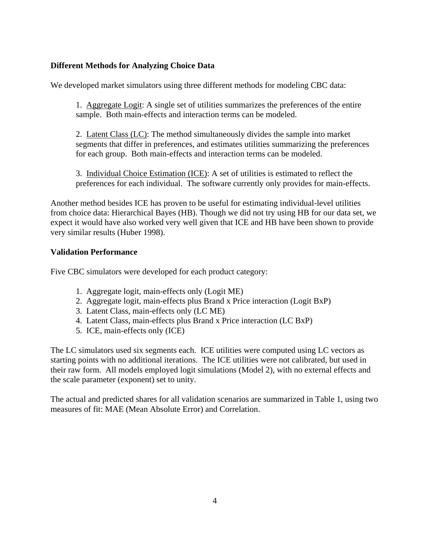# **Different Methods for Analyzing Choice Data**

We developed market simulators using three different methods for modeling CBC data:

1. Aggregate Logit: A single set of utilities summarizes the preferences of the entire sample. Both main-effects and interaction terms can be modeled.

2. Latent Class (LC): The method simultaneously divides the sample into market segments that differ in preferences, and estimates utilities summarizing the preferences for each group. Both main-effects and interaction terms can be modeled.

3. Individual Choice Estimation (ICE): A set of utilities is estimated to reflect the preferences for each individual. The software currently only provides for main-effects.

Another method besides ICE has proven to be useful for estimating individual-level utilities from choice data: Hierarchical Bayes (HB). Though we did not try using HB for our data set, we expect it would have also worked very well given that ICE and HB have been shown to provide very similar results (Huber 1998).

## **Validation Performance**

Five CBC simulators were developed for each product category:

- 1. Aggregate logit, main-effects only (Logit ME)
- 2. Aggregate logit, main-effects plus Brand x Price interaction (Logit BxP)
- 3. Latent Class, main-effects only (LC ME)
- 4. Latent Class, main-effects plus Brand x Price interaction (LC BxP)
- 5. ICE, main-effects only (ICE)

The LC simulators used six segments each. ICE utilities were computed using LC vectors as starting points with no additional iterations. The ICE utilities were not calibrated, but used in their raw form. All models employed logit simulations (Model 2), with no external effects and the scale parameter (exponent) set to unity.

The actual and predicted shares for all validation scenarios are summarized in Table 1, using two measures of fit: MAE (Mean Absolute Error) and Correlation.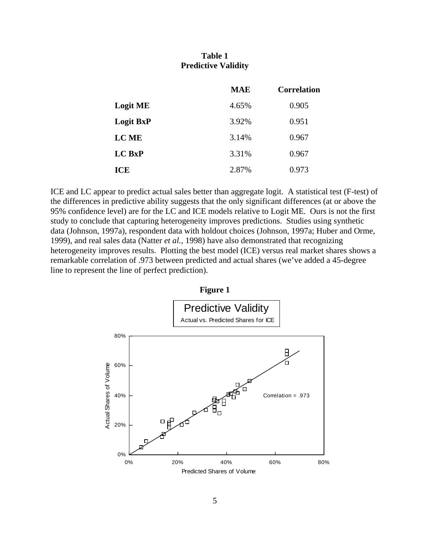# **Table 1 Predictive Validity**

|                  | <b>MAE</b> | <b>Correlation</b> |
|------------------|------------|--------------------|
| <b>Logit ME</b>  | 4.65%      | 0.905              |
| <b>Logit BxP</b> | 3.92%      | 0.951              |
| <b>LC ME</b>     | 3.14%      | 0.967              |
| <b>LC BxP</b>    | 3.31%      | 0.967              |
| ICE              | 2.87%      | 0.973              |

ICE and LC appear to predict actual sales better than aggregate logit. A statistical test (F-test) of the differences in predictive ability suggests that the only significant differences (at or above the 95% confidence level) are for the LC and ICE models relative to Logit ME. Ours is not the first study to conclude that capturing heterogeneity improves predictions. Studies using synthetic data (Johnson, 1997a), respondent data with holdout choices (Johnson, 1997a; Huber and Orme, 1999), and real sales data (Natter *et al.,* 1998) have also demonstrated that recognizing heterogeneity improves results. Plotting the best model (ICE) versus real market shares shows a remarkable correlation of .973 between predicted and actual shares (we've added a 45-degree line to represent the line of perfect prediction).

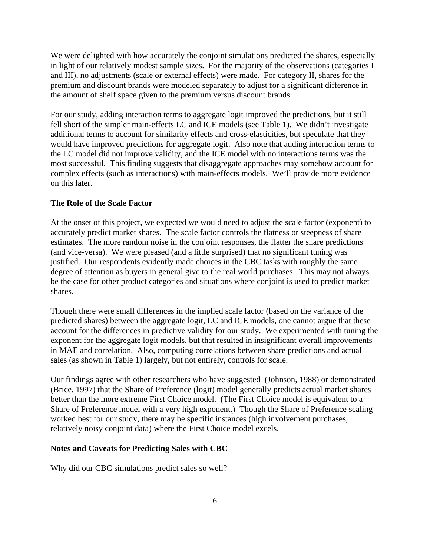We were delighted with how accurately the conjoint simulations predicted the shares, especially in light of our relatively modest sample sizes. For the majority of the observations (categories I and III), no adjustments (scale or external effects) were made. For category II, shares for the premium and discount brands were modeled separately to adjust for a significant difference in the amount of shelf space given to the premium versus discount brands.

For our study, adding interaction terms to aggregate logit improved the predictions, but it still fell short of the simpler main-effects LC and ICE models (see Table 1). We didn't investigate additional terms to account for similarity effects and cross-elasticities, but speculate that they would have improved predictions for aggregate logit. Also note that adding interaction terms to the LC model did not improve validity, and the ICE model with no interactions terms was the most successful. This finding suggests that disaggregate approaches may somehow account for complex effects (such as interactions) with main-effects models. We'll provide more evidence on this later.

#### **The Role of the Scale Factor**

At the onset of this project, we expected we would need to adjust the scale factor (exponent) to accurately predict market shares. The scale factor controls the flatness or steepness of share estimates. The more random noise in the conjoint responses, the flatter the share predictions (and vice-versa). We were pleased (and a little surprised) that no significant tuning was justified. Our respondents evidently made choices in the CBC tasks with roughly the same degree of attention as buyers in general give to the real world purchases. This may not always be the case for other product categories and situations where conjoint is used to predict market shares.

Though there were small differences in the implied scale factor (based on the variance of the predicted shares) between the aggregate logit, LC and ICE models, one cannot argue that these account for the differences in predictive validity for our study. We experimented with tuning the exponent for the aggregate logit models, but that resulted in insignificant overall improvements in MAE and correlation. Also, computing correlations between share predictions and actual sales (as shown in Table 1) largely, but not entirely, controls for scale.

Our findings agree with other researchers who have suggested (Johnson, 1988) or demonstrated (Brice, 1997) that the Share of Preference (logit) model generally predicts actual market shares better than the more extreme First Choice model. (The First Choice model is equivalent to a Share of Preference model with a very high exponent.) Though the Share of Preference scaling worked best for our study, there may be specific instances (high involvement purchases, relatively noisy conjoint data) where the First Choice model excels.

#### **Notes and Caveats for Predicting Sales with CBC**

Why did our CBC simulations predict sales so well?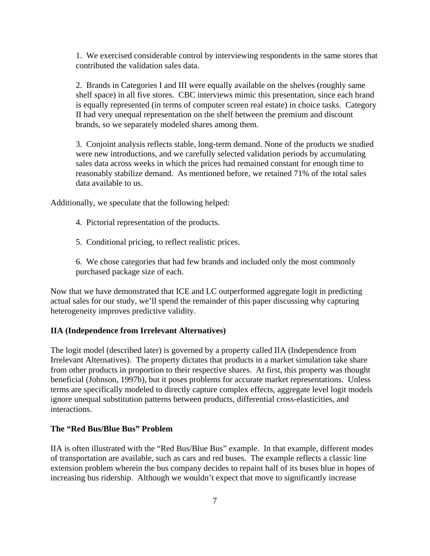1. We exercised considerable control by interviewing respondents in the same stores that contributed the validation sales data.

2. Brands in Categories I and III were equally available on the shelves (roughly same shelf space) in all five stores. CBC interviews mimic this presentation, since each brand is equally represented (in terms of computer screen real estate) in choice tasks. Category II had very unequal representation on the shelf between the premium and discount brands, so we separately modeled shares among them.

3. Conjoint analysis reflects stable, long-term demand. None of the products we studied were new introductions, and we carefully selected validation periods by accumulating sales data across weeks in which the prices had remained constant for enough time to reasonably stabilize demand. As mentioned before, we retained 71% of the total sales data available to us.

Additionally, we speculate that the following helped:

- 4. Pictorial representation of the products.
- 5. Conditional pricing, to reflect realistic prices.

6. We chose categories that had few brands and included only the most commonly purchased package size of each.

Now that we have demonstrated that ICE and LC outperformed aggregate logit in predicting actual sales for our study, we'll spend the remainder of this paper discussing why capturing heterogeneity improves predictive validity.

#### **IIA (Independence from Irrelevant Alternatives)**

The logit model (described later) is governed by a property called IIA (Independence from Irrelevant Alternatives). The property dictates that products in a market simulation take share from other products in proportion to their respective shares. At first, this property was thought beneficial (Johnson, 1997b), but it poses problems for accurate market representations. Unless terms are specifically modeled to directly capture complex effects, aggregate level logit models ignore unequal substitution patterns between products, differential cross-elasticities, and interactions.

#### **The "Red Bus/Blue Bus" Problem**

IIA is often illustrated with the "Red Bus/Blue Bus" example. In that example, different modes of transportation are available, such as cars and red buses. The example reflects a classic line extension problem wherein the bus company decides to repaint half of its buses blue in hopes of increasing bus ridership. Although we wouldn't expect that move to significantly increase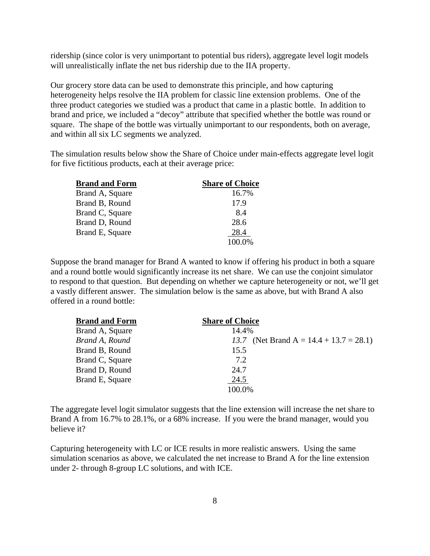ridership (since color is very unimportant to potential bus riders), aggregate level logit models will unrealistically inflate the net bus ridership due to the IIA property.

Our grocery store data can be used to demonstrate this principle, and how capturing heterogeneity helps resolve the IIA problem for classic line extension problems. One of the three product categories we studied was a product that came in a plastic bottle. In addition to brand and price, we included a "decoy" attribute that specified whether the bottle was round or square. The shape of the bottle was virtually unimportant to our respondents, both on average, and within all six LC segments we analyzed.

The simulation results below show the Share of Choice under main-effects aggregate level logit for five fictitious products, each at their average price:

| <b>Brand and Form</b> | <b>Share of Choice</b> |
|-----------------------|------------------------|
| Brand A, Square       | 16.7%                  |
| Brand B, Round        | 17.9                   |
| Brand C, Square       | 8.4                    |
| Brand D, Round        | 28.6                   |
| Brand E, Square       | 28.4                   |
|                       | 100.0%                 |

Suppose the brand manager for Brand A wanted to know if offering his product in both a square and a round bottle would significantly increase its net share. We can use the conjoint simulator to respond to that question. But depending on whether we capture heterogeneity or not, we'll get a vastly different answer. The simulation below is the same as above, but with Brand A also offered in a round bottle:

| <b>Brand and Form</b> | <b>Share of Choice</b>                        |
|-----------------------|-----------------------------------------------|
| Brand A, Square       | 14.4%                                         |
| Brand A, Round        | (Net Brand A = $14.4 + 13.7 = 28.1$ )<br>13.7 |
| Brand B, Round        | 15.5                                          |
| Brand C, Square       | 7.2                                           |
| Brand D, Round        | 24.7                                          |
| Brand E, Square       | 24.5                                          |
|                       | 100.0%                                        |

The aggregate level logit simulator suggests that the line extension will increase the net share to Brand A from 16.7% to 28.1%, or a 68% increase. If you were the brand manager, would you believe it?

Capturing heterogeneity with LC or ICE results in more realistic answers. Using the same simulation scenarios as above, we calculated the net increase to Brand A for the line extension under 2- through 8-group LC solutions, and with ICE.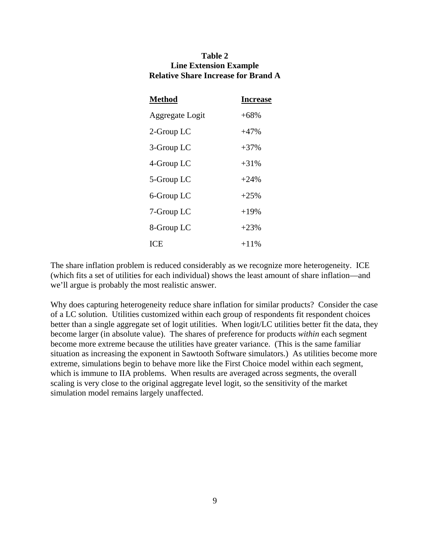#### **Table 2 Line Extension Example Relative Share Increase for Brand A**

| <b>Method</b>   | <b>Increase</b> |
|-----------------|-----------------|
| Aggregate Logit | $+68%$          |
| 2-Group LC      | $+47%$          |
| 3-Group LC      | $+37%$          |
| 4-Group LC      | $+31%$          |
| 5-Group LC      | $+24%$          |
| 6-Group LC      | $+25%$          |
| 7-Group LC      | $+19%$          |
| 8-Group LC      | $+23%$          |
| ICE             | $+11\%$         |

The share inflation problem is reduced considerably as we recognize more heterogeneity. ICE (which fits a set of utilities for each individual) shows the least amount of share inflation—and we'll argue is probably the most realistic answer.

Why does capturing heterogeneity reduce share inflation for similar products? Consider the case of a LC solution. Utilities customized within each group of respondents fit respondent choices better than a single aggregate set of logit utilities. When logit/LC utilities better fit the data, they become larger (in absolute value). The shares of preference for products *within* each segment become more extreme because the utilities have greater variance. (This is the same familiar situation as increasing the exponent in Sawtooth Software simulators.) As utilities become more extreme, simulations begin to behave more like the First Choice model within each segment, which is immune to IIA problems. When results are averaged across segments, the overall scaling is very close to the original aggregate level logit, so the sensitivity of the market simulation model remains largely unaffected.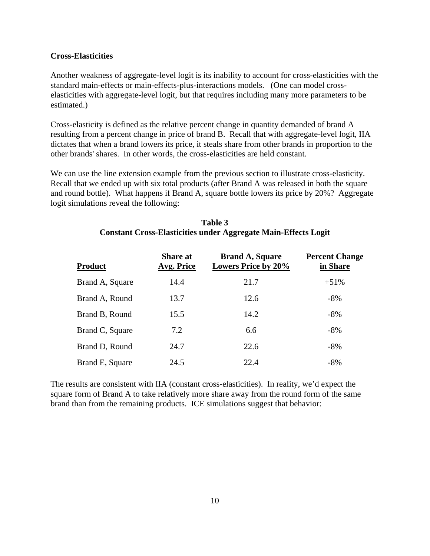#### **Cross-Elasticities**

Another weakness of aggregate-level logit is its inability to account for cross-elasticities with the standard main-effects or main-effects-plus-interactions models. (One can model crosselasticities with aggregate-level logit, but that requires including many more parameters to be estimated.)

Cross-elasticity is defined as the relative percent change in quantity demanded of brand A resulting from a percent change in price of brand B. Recall that with aggregate-level logit, IIA dictates that when a brand lowers its price, it steals share from other brands in proportion to the other brands' shares. In other words, the cross-elasticities are held constant.

We can use the line extension example from the previous section to illustrate cross-elasticity. Recall that we ended up with six total products (after Brand A was released in both the square and round bottle). What happens if Brand A, square bottle lowers its price by 20%? Aggregate logit simulations reveal the following:

| Table 3                                                               |
|-----------------------------------------------------------------------|
| <b>Constant Cross-Elasticities under Aggregate Main-Effects Logit</b> |

| <b>Product</b>  | <b>Share at</b><br>Avg. Price | <b>Brand A, Square</b><br><b>Lowers Price by 20%</b> | <b>Percent Change</b><br>in Share |
|-----------------|-------------------------------|------------------------------------------------------|-----------------------------------|
| Brand A, Square | 14.4                          | 21.7                                                 | $+51%$                            |
| Brand A, Round  | 13.7                          | 12.6                                                 | $-8%$                             |
| Brand B, Round  | 15.5                          | 14.2                                                 | $-8%$                             |
| Brand C, Square | 7.2                           | 6.6                                                  | $-8%$                             |
| Brand D, Round  | 24.7                          | 22.6                                                 | $-8%$                             |
| Brand E, Square | 24.5                          | 22.4                                                 | $-8%$                             |

The results are consistent with IIA (constant cross-elasticities). In reality, we'd expect the square form of Brand A to take relatively more share away from the round form of the same brand than from the remaining products. ICE simulations suggest that behavior: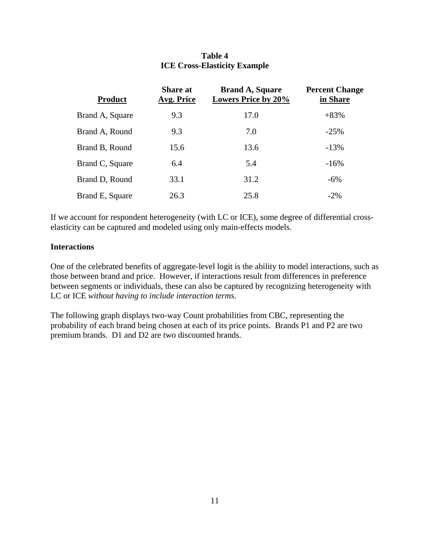| <b>Product</b>  | <b>Share at</b><br><b>Avg. Price</b> | <b>Brand A, Square</b><br><b>Lowers Price by 20%</b> | <b>Percent Change</b><br>in Share |
|-----------------|--------------------------------------|------------------------------------------------------|-----------------------------------|
| Brand A, Square | 9.3                                  | 17.0                                                 | $+83%$                            |
| Brand A, Round  | 9.3                                  | 7.0                                                  | $-25%$                            |
| Brand B, Round  | 15.6                                 | 13.6                                                 | $-13%$                            |
| Brand C, Square | 6.4                                  | 5.4                                                  | $-16%$                            |
| Brand D, Round  | 33.1                                 | 31.2                                                 | $-6\%$                            |
| Brand E, Square | 26.3                                 | 25.8                                                 | $-2\%$                            |

#### **Table 4 ICE Cross-Elasticity Example**

If we account for respondent heterogeneity (with LC or ICE), some degree of differential crosselasticity can be captured and modeled using only main-effects models.

#### **Interactions**

One of the celebrated benefits of aggregate-level logit is the ability to model interactions, such as those between brand and price. However, if interactions result from differences in preference between segments or individuals, these can also be captured by recognizing heterogeneity with LC or ICE *without having to include interaction terms*.

The following graph displays two-way Count probabilities from CBC, representing the probability of each brand being chosen at each of its price points. Brands P1 and P2 are two premium brands. D1 and D2 are two discounted brands.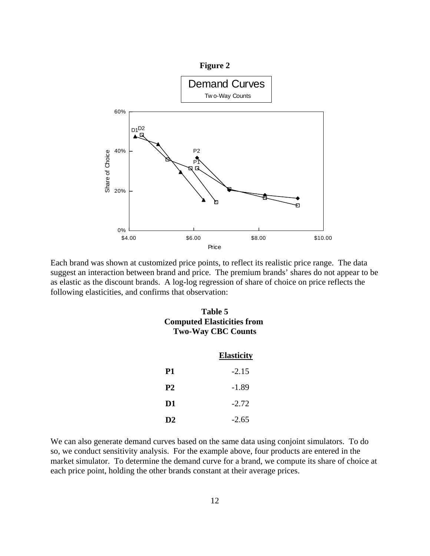

Each brand was shown at customized price points, to reflect its realistic price range. The data suggest an interaction between brand and price. The premium brands' shares do not appear to be as elastic as the discount brands. A log-log regression of share of choice on price reflects the following elasticities, and confirms that observation:

| Table 5                           |
|-----------------------------------|
| <b>Computed Elasticities from</b> |
| <b>Two-Way CBC Counts</b>         |

|    | <b>Elasticity</b> |
|----|-------------------|
| Р1 | $-2.15$           |
| P2 | -1.89             |
| D1 | $-2.72$           |
| D2 | $-2.65$           |

We can also generate demand curves based on the same data using conjoint simulators. To do so, we conduct sensitivity analysis. For the example above, four products are entered in the market simulator. To determine the demand curve for a brand, we compute its share of choice at each price point, holding the other brands constant at their average prices.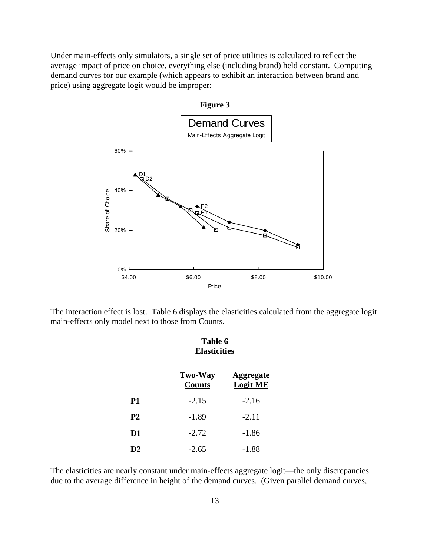Under main-effects only simulators, a single set of price utilities is calculated to reflect the average impact of price on choice, everything else (including brand) held constant. Computing demand curves for our example (which appears to exhibit an interaction between brand and price) using aggregate logit would be improper:



The interaction effect is lost. Table 6 displays the elasticities calculated from the aggregate logit main-effects only model next to those from Counts.

|  | Table 6 |  |                     |  |
|--|---------|--|---------------------|--|
|  |         |  | <b>Elasticities</b> |  |

|           | <b>Two-Way</b><br><b>Counts</b> | <b>Aggregate</b><br><b>Logit ME</b> |
|-----------|---------------------------------|-------------------------------------|
| P1        | $-2.15$                         | $-2.16$                             |
| <b>P2</b> | $-1.89$                         | $-2.11$                             |
| D1        | $-2.72$                         | $-1.86$                             |
| D2        | $-2.65$                         | $-1.88$                             |

The elasticities are nearly constant under main-effects aggregate logit—the only discrepancies due to the average difference in height of the demand curves. (Given parallel demand curves,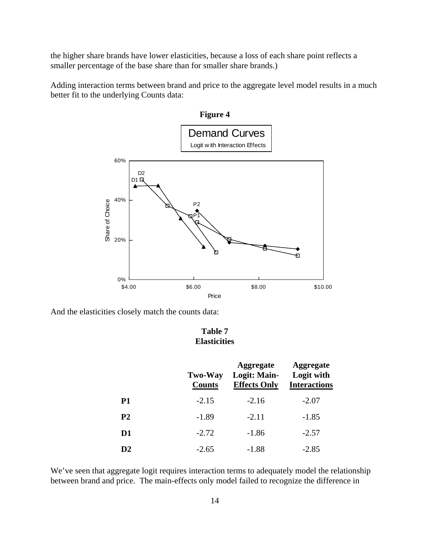the higher share brands have lower elasticities, because a loss of each share point reflects a smaller percentage of the base share than for smaller share brands.)

Adding interaction terms between brand and price to the aggregate level model results in a much better fit to the underlying Counts data:



And the elasticities closely match the counts data:

# **Table 7 Elasticities**

|                | <b>Two-Way</b><br><b>Counts</b> | <b>Aggregate</b><br>Logit: Main-<br><b>Effects Only</b> | <b>Aggregate</b><br>Logit with<br><b>Interactions</b> |
|----------------|---------------------------------|---------------------------------------------------------|-------------------------------------------------------|
| <b>P1</b>      | $-2.15$                         | $-2.16$                                                 | $-2.07$                                               |
| P <sub>2</sub> | $-1.89$                         | $-2.11$                                                 | $-1.85$                                               |
| D1             | $-2.72$                         | $-1.86$                                                 | $-2.57$                                               |
| D2             | $-2.65$                         | $-1.88$                                                 | $-2.85$                                               |

We've seen that aggregate logit requires interaction terms to adequately model the relationship between brand and price. The main-effects only model failed to recognize the difference in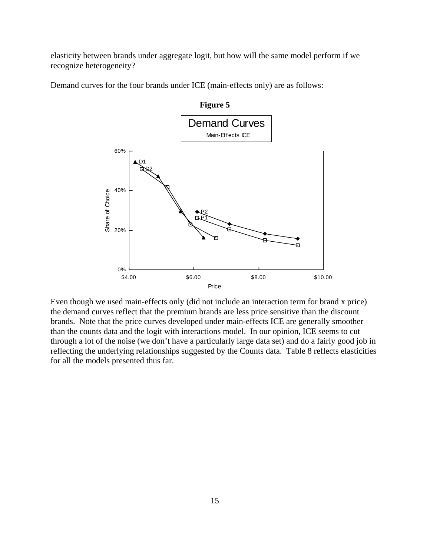elasticity between brands under aggregate logit, but how will the same model perform if we recognize heterogeneity?

Demand curves for the four brands under ICE (main-effects only) are as follows:



Even though we used main-effects only (did not include an interaction term for brand x price) the demand curves reflect that the premium brands are less price sensitive than the discount brands. Note that the price curves developed under main-effects ICE are generally smoother than the counts data and the logit with interactions model. In our opinion, ICE seems to cut through a lot of the noise (we don't have a particularly large data set) and do a fairly good job in reflecting the underlying relationships suggested by the Counts data. Table 8 reflects elasticities for all the models presented thus far.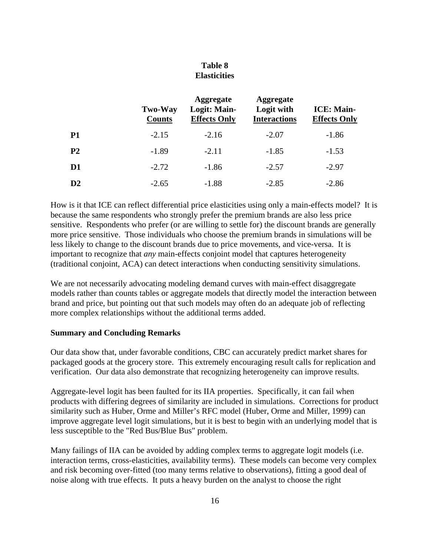# **Table 8 Elasticities**

|                | <b>Two-Way</b><br><b>Counts</b> | <b>Aggregate</b><br>Logit: Main-<br><b>Effects Only</b> | <b>Aggregate</b><br>Logit with<br><b>Interactions</b> | <b>ICE: Main-</b><br><b>Effects Only</b> |
|----------------|---------------------------------|---------------------------------------------------------|-------------------------------------------------------|------------------------------------------|
| P1             | $-2.15$                         | $-2.16$                                                 | $-2.07$                                               | $-1.86$                                  |
| P <sub>2</sub> | $-1.89$                         | $-2.11$                                                 | $-1.85$                                               | $-1.53$                                  |
| D <sub>1</sub> | $-2.72$                         | $-1.86$                                                 | $-2.57$                                               | $-2.97$                                  |
| $\mathbf{D}2$  | $-2.65$                         | $-1.88$                                                 | $-2.85$                                               | $-2.86$                                  |

How is it that ICE can reflect differential price elasticities using only a main-effects model? It is because the same respondents who strongly prefer the premium brands are also less price sensitive. Respondents who prefer (or are willing to settle for) the discount brands are generally more price sensitive. Those individuals who choose the premium brands in simulations will be less likely to change to the discount brands due to price movements, and vice-versa. It is important to recognize that *any* main-effects conjoint model that captures heterogeneity (traditional conjoint, ACA) can detect interactions when conducting sensitivity simulations.

We are not necessarily advocating modeling demand curves with main-effect disaggregate models rather than counts tables or aggregate models that directly model the interaction between brand and price, but pointing out that such models may often do an adequate job of reflecting more complex relationships without the additional terms added.

#### **Summary and Concluding Remarks**

Our data show that, under favorable conditions, CBC can accurately predict market shares for packaged goods at the grocery store. This extremely encouraging result calls for replication and verification. Our data also demonstrate that recognizing heterogeneity can improve results.

Aggregate-level logit has been faulted for its IIA properties. Specifically, it can fail when products with differing degrees of similarity are included in simulations. Corrections for product similarity such as Huber, Orme and Miller's RFC model (Huber, Orme and Miller, 1999) can improve aggregate level logit simulations, but it is best to begin with an underlying model that is less susceptible to the "Red Bus/Blue Bus" problem.

Many failings of IIA can be avoided by adding complex terms to aggregate logit models (i.e. interaction terms, cross-elasticities, availability terms). These models can become very complex and risk becoming over-fitted (too many terms relative to observations), fitting a good deal of noise along with true effects. It puts a heavy burden on the analyst to choose the right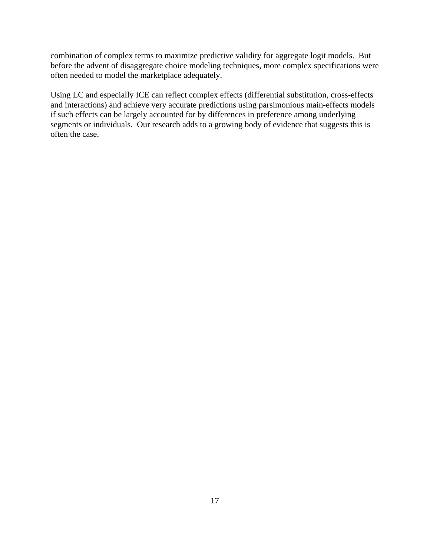combination of complex terms to maximize predictive validity for aggregate logit models. But before the advent of disaggregate choice modeling techniques, more complex specifications were often needed to model the marketplace adequately.

Using LC and especially ICE can reflect complex effects (differential substitution, cross-effects and interactions) and achieve very accurate predictions using parsimonious main-effects models if such effects can be largely accounted for by differences in preference among underlying segments or individuals. Our research adds to a growing body of evidence that suggests this is often the case.